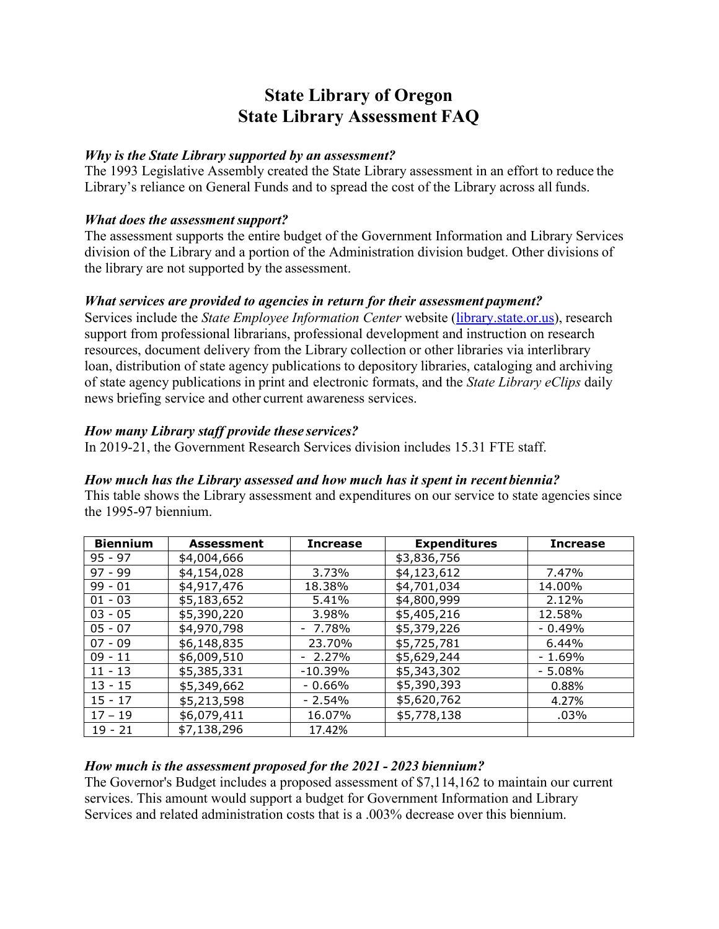# **State Library of Oregon State Library Assessment FAQ**

#### *Why is the State Library supported by an assessment?*

The 1993 Legislative Assembly created the State Library assessment in an effort to reduce the Library's reliance on General Funds and to spread the cost of the Library across all funds.

#### *What does the assessment support?*

The assessment supports the entire budget of the Government Information and Library Services division of the Library and a portion of the Administration division budget. Other divisions of the library are not supported by the assessment.

#### *What services are provided to agencies in return for their assessment payment?*

Services include the *State Employee Information Center* website [\(library.state.or.us\)](http://library.state.or.us/), research support from professional librarians, professional development and instruction on research resources, document delivery from the Library collection or other libraries via interlibrary loan, distribution of state agency publications to depository libraries, cataloging and archiving of state agency publications in print and electronic formats, and the *State Library eClips* daily news briefing service and other current awareness services.

#### *How many Library staff provide these services?*

In 2019-21, the Government Research Services division includes 15.31 FTE staff.

## *How much has the Library assessed and how much has it spent in recent biennia?*

This table shows the Library assessment and expenditures on our service to state agencies since the 1995-97 biennium.

| <b>Biennium</b> | <b>Assessment</b> | <b>Increase</b> | <b>Expenditures</b> | <b>Increase</b> |
|-----------------|-------------------|-----------------|---------------------|-----------------|
| $95 - 97$       | \$4,004,666       |                 | \$3,836,756         |                 |
| $97 - 99$       | \$4,154,028       | 3.73%           | \$4,123,612         | 7.47%           |
| $99 - 01$       | \$4,917,476       | 18.38%          | \$4,701,034         | 14.00%          |
| $01 - 03$       | \$5,183,652       | 5.41%           | \$4,800,999         | 2.12%           |
| $03 - 05$       | \$5,390,220       | 3.98%           | \$5,405,216         | 12.58%          |
| $05 - 07$       | \$4,970,798       | $-7.78%$        | \$5,379,226         | $-0.49%$        |
| $07 - 09$       | \$6,148,835       | 23.70%          | \$5,725,781         | 6.44%           |
| $09 - 11$       | \$6,009,510       | $-2.27%$        | \$5,629,244         | $-1.69%$        |
| $11 - 13$       | \$5,385,331       | $-10.39%$       | \$5,343,302         | $-5.08%$        |
| $13 - 15$       | \$5,349,662       | $-0.66%$        | \$5,390,393         | 0.88%           |
| $15 - 17$       | \$5,213,598       | $-2.54%$        | \$5,620,762         | 4.27%           |
| $17 - 19$       | \$6,079,411       | 16.07%          | \$5,778,138         | .03%            |
| $19 - 21$       | \$7,138,296       | 17.42%          |                     |                 |

## *How much is the assessment proposed for the 2021 - 2023 biennium?*

The Governor's Budget includes a proposed assessment of \$7,114,162 to maintain our current services. This amount would support a budget for Government Information and Library Services and related administration costs that is a .003% decrease over this biennium.